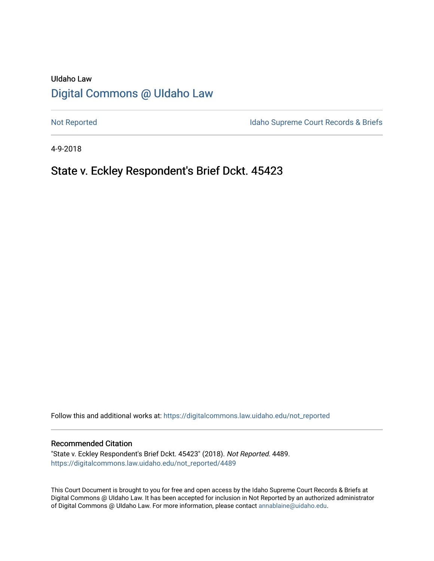# UIdaho Law [Digital Commons @ UIdaho Law](https://digitalcommons.law.uidaho.edu/)

[Not Reported](https://digitalcommons.law.uidaho.edu/not_reported) **Idaho Supreme Court Records & Briefs** 

4-9-2018

## State v. Eckley Respondent's Brief Dckt. 45423

Follow this and additional works at: [https://digitalcommons.law.uidaho.edu/not\\_reported](https://digitalcommons.law.uidaho.edu/not_reported?utm_source=digitalcommons.law.uidaho.edu%2Fnot_reported%2F4489&utm_medium=PDF&utm_campaign=PDFCoverPages) 

#### Recommended Citation

"State v. Eckley Respondent's Brief Dckt. 45423" (2018). Not Reported. 4489. [https://digitalcommons.law.uidaho.edu/not\\_reported/4489](https://digitalcommons.law.uidaho.edu/not_reported/4489?utm_source=digitalcommons.law.uidaho.edu%2Fnot_reported%2F4489&utm_medium=PDF&utm_campaign=PDFCoverPages)

This Court Document is brought to you for free and open access by the Idaho Supreme Court Records & Briefs at Digital Commons @ UIdaho Law. It has been accepted for inclusion in Not Reported by an authorized administrator of Digital Commons @ UIdaho Law. For more information, please contact [annablaine@uidaho.edu](mailto:annablaine@uidaho.edu).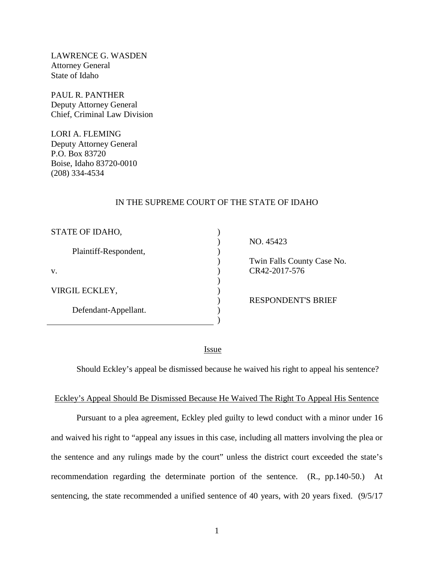LAWRENCE G. WASDEN Attorney General State of Idaho

PAUL R. PANTHER Deputy Attorney General Chief, Criminal Law Division

LORI A. FLEMING Deputy Attorney General P.O. Box 83720 Boise, Idaho 83720-0010 (208) 334-4534

### IN THE SUPREME COURT OF THE STATE OF IDAHO

| STATE OF IDAHO,       |  |
|-----------------------|--|
| Plaintiff-Respondent, |  |
| $V_{\cdot}$           |  |
| VIRGIL ECKLEY,        |  |
| Defendant-Appellant.  |  |

 NO. 45423 Twin Falls County Case No. CR42-2017-576

RESPONDENT'S BRIEF

<u>Issue</u>

Should Eckley's appeal be dismissed because he waived his right to appeal his sentence?

#### Eckley's Appeal Should Be Dismissed Because He Waived The Right To Appeal His Sentence

Pursuant to a plea agreement, Eckley pled guilty to lewd conduct with a minor under 16 and waived his right to "appeal any issues in this case, including all matters involving the plea or the sentence and any rulings made by the court" unless the district court exceeded the state's recommendation regarding the determinate portion of the sentence. (R., pp.140-50.) At sentencing, the state recommended a unified sentence of 40 years, with 20 years fixed. (9/5/17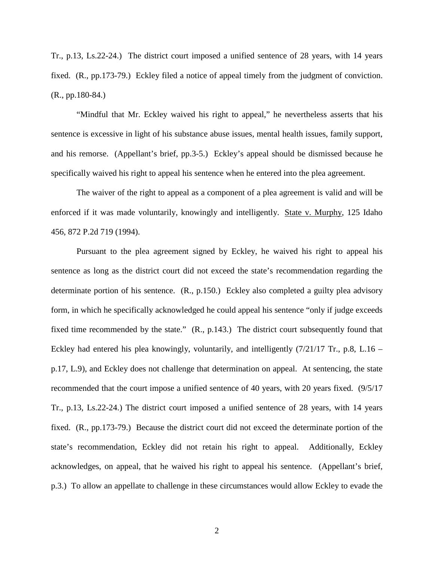Tr., p.13, Ls.22-24.) The district court imposed a unified sentence of 28 years, with 14 years fixed. (R., pp.173-79.) Eckley filed a notice of appeal timely from the judgment of conviction. (R., pp.180-84.)

"Mindful that Mr. Eckley waived his right to appeal," he nevertheless asserts that his sentence is excessive in light of his substance abuse issues, mental health issues, family support, and his remorse. (Appellant's brief, pp.3-5.) Eckley's appeal should be dismissed because he specifically waived his right to appeal his sentence when he entered into the plea agreement.

The waiver of the right to appeal as a component of a plea agreement is valid and will be enforced if it was made voluntarily, knowingly and intelligently. State v. Murphy, 125 Idaho 456, 872 P.2d 719 (1994).

Pursuant to the plea agreement signed by Eckley, he waived his right to appeal his sentence as long as the district court did not exceed the state's recommendation regarding the determinate portion of his sentence. (R., p.150.) Eckley also completed a guilty plea advisory form, in which he specifically acknowledged he could appeal his sentence "only if judge exceeds fixed time recommended by the state." (R., p.143.) The district court subsequently found that Eckley had entered his plea knowingly, voluntarily, and intelligently (7/21/17 Tr., p.8, L.16 – p.17, L.9), and Eckley does not challenge that determination on appeal. At sentencing, the state recommended that the court impose a unified sentence of 40 years, with 20 years fixed. (9/5/17 Tr., p.13, Ls.22-24.) The district court imposed a unified sentence of 28 years, with 14 years fixed. (R., pp.173-79.) Because the district court did not exceed the determinate portion of the state's recommendation, Eckley did not retain his right to appeal. Additionally, Eckley acknowledges, on appeal, that he waived his right to appeal his sentence. (Appellant's brief, p.3.) To allow an appellate to challenge in these circumstances would allow Eckley to evade the